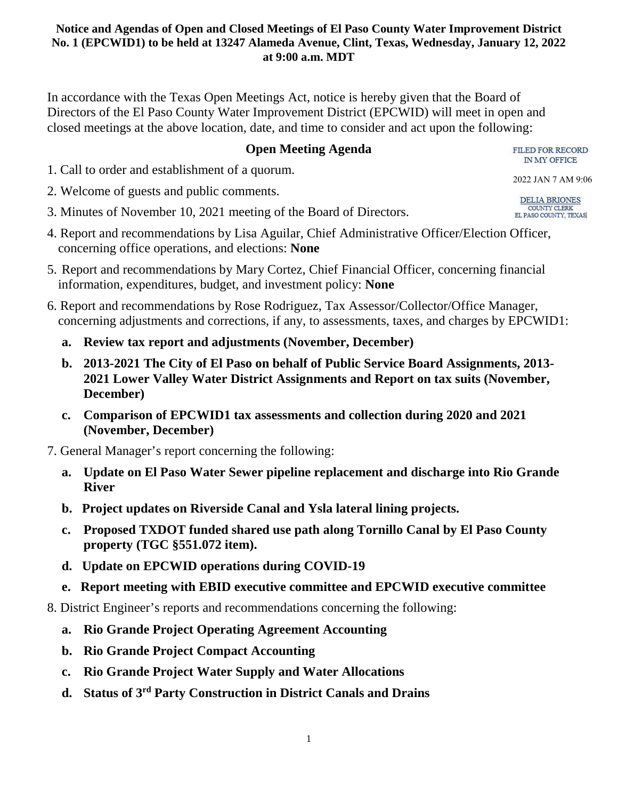In accordance with the Texas Open Meetings Act, notice is hereby given that the Board of Directors of the El Paso County Water Improvement District (EPCWID) will meet in open and closed meetings at the above location, date, and time to consider and act upon the following:

## **Open Meeting Agenda**

1. Call to order and establishment of a quorum.

- 2. Welcome of guests and public comments.
- 3. Minutes of November 10, 2021 meeting of the Board of Directors.
- 4. Report and recommendations by Lisa Aguilar, Chief Administrative Officer/Election Officer, concerning office operations, and elections: **None**
- 5. Report and recommendations by Mary Cortez, Chief Financial Officer, concerning financial information, expenditures, budget, and investment policy: **None**
- 6. Report and recommendations by Rose Rodriguez, Tax Assessor/Collector/Office Manager, concerning adjustments and corrections, if any, to assessments, taxes, and charges by EPCWID1:
	- **a. Review tax report and adjustments (November, December)**
	- **b. 2013-2021 The City of El Paso on behalf of Public Service Board Assignments, 2013- 2021 Lower Valley Water District Assignments and Report on tax suits (November, December)**
	- **c. Comparison of EPCWID1 tax assessments and collection during 2020 and 2021 (November, December)**
- 7. General Manager's report concerning the following:
	- **a. Update on El Paso Water Sewer pipeline replacement and discharge into Rio Grande River**
	- **b. Project updates on Riverside Canal and Ysla lateral lining projects.**
	- **c. Proposed TXDOT funded shared use path along Tornillo Canal by El Paso County property (TGC §551.072 item).**
	- **d. Update on EPCWID operations during COVID-19**
	- **e. Report meeting with EBID executive committee and EPCWID executive committee**
- 8. District Engineer's reports and recommendations concerning the following:
	- **a. Rio Grande Project Operating Agreement Accounting**
	- **b. Rio Grande Project Compact Accounting**
	- **c. Rio Grande Project Water Supply and Water Allocations**
	- **d. Status of 3rd Party Construction in District Canals and Drains**

IN MY OFFICE 2022 JAN 7 AM 9:06

FILED FOR RECORD

DELIA BRIONES COUNTY CLERK EL PASO COUNTY, TEXAS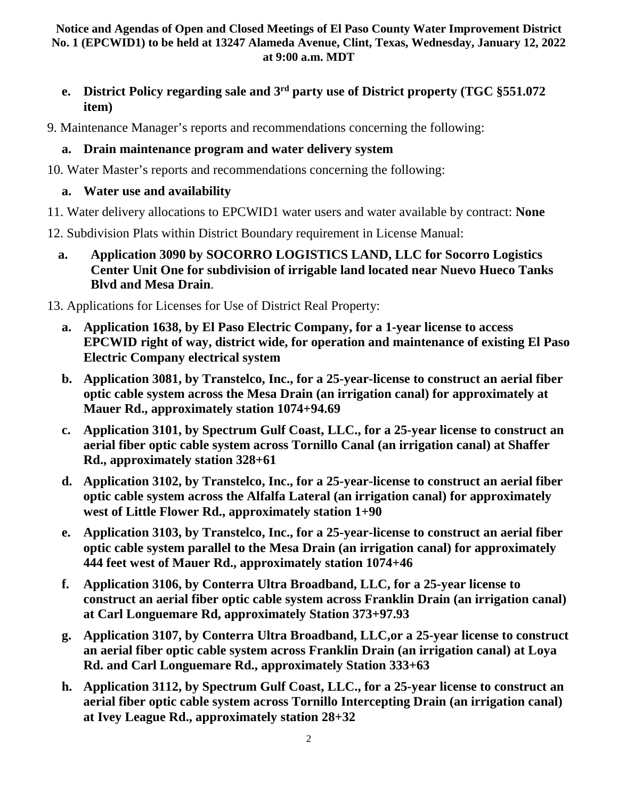- **e. District Policy regarding sale and 3rd party use of District property (TGC §551.072 item)**
- 9. Maintenance Manager's reports and recommendations concerning the following:

# **a. Drain maintenance program and water delivery system**

10. Water Master's reports and recommendations concerning the following:

# **a. Water use and availability**

- 11. Water delivery allocations to EPCWID1 water users and water available by contract: **None**
- 12. Subdivision Plats within District Boundary requirement in License Manual:
	- **a. Application 3090 by SOCORRO LOGISTICS LAND, LLC for Socorro Logistics Center Unit One for subdivision of irrigable land located near Nuevo Hueco Tanks Blvd and Mesa Drain**.
- 13. Applications for Licenses for Use of District Real Property:
	- **a. Application 1638, by El Paso Electric Company, for a 1-year license to access EPCWID right of way, district wide, for operation and maintenance of existing El Paso Electric Company electrical system**
	- **b. Application 3081, by Transtelco, Inc., for a 25-year-license to construct an aerial fiber optic cable system across the Mesa Drain (an irrigation canal) for approximately at Mauer Rd., approximately station 1074+94.69**
	- **c. Application 3101, by Spectrum Gulf Coast, LLC., for a 25-year license to construct an aerial fiber optic cable system across Tornillo Canal (an irrigation canal) at Shaffer Rd., approximately station 328+61**
	- **d. Application 3102, by Transtelco, Inc., for a 25-year-license to construct an aerial fiber optic cable system across the Alfalfa Lateral (an irrigation canal) for approximately west of Little Flower Rd., approximately station 1+90**
	- **e. Application 3103, by Transtelco, Inc., for a 25-year-license to construct an aerial fiber optic cable system parallel to the Mesa Drain (an irrigation canal) for approximately 444 feet west of Mauer Rd., approximately station 1074+46**
	- **f. Application 3106, by Conterra Ultra Broadband, LLC, for a 25-year license to construct an aerial fiber optic cable system across Franklin Drain (an irrigation canal) at Carl Longuemare Rd, approximately Station 373+97.93**
	- **g. Application 3107, by Conterra Ultra Broadband, LLC,or a 25-year license to construct an aerial fiber optic cable system across Franklin Drain (an irrigation canal) at Loya Rd. and Carl Longuemare Rd., approximately Station 333+63**
	- **h. Application 3112, by Spectrum Gulf Coast, LLC., for a 25-year license to construct an aerial fiber optic cable system across Tornillo Intercepting Drain (an irrigation canal) at Ivey League Rd., approximately station 28+32**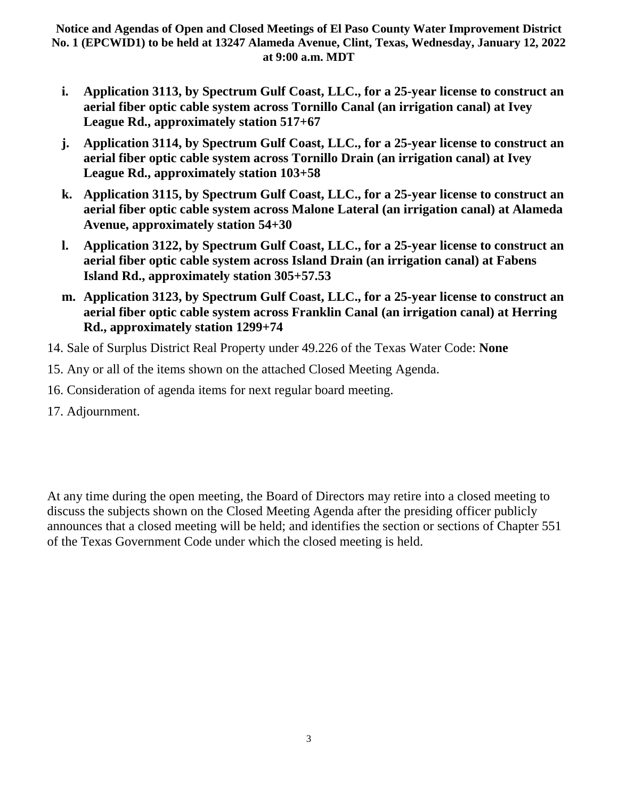- **i. Application 3113, by Spectrum Gulf Coast, LLC., for a 25-year license to construct an aerial fiber optic cable system across Tornillo Canal (an irrigation canal) at Ivey League Rd., approximately station 517+67**
- **j. Application 3114, by Spectrum Gulf Coast, LLC., for a 25-year license to construct an aerial fiber optic cable system across Tornillo Drain (an irrigation canal) at Ivey League Rd., approximately station 103+58**
- **k. Application 3115, by Spectrum Gulf Coast, LLC., for a 25-year license to construct an aerial fiber optic cable system across Malone Lateral (an irrigation canal) at Alameda Avenue, approximately station 54+30**
- **l. Application 3122, by Spectrum Gulf Coast, LLC., for a 25-year license to construct an aerial fiber optic cable system across Island Drain (an irrigation canal) at Fabens Island Rd., approximately station 305+57.53**
- **m. Application 3123, by Spectrum Gulf Coast, LLC., for a 25-year license to construct an aerial fiber optic cable system across Franklin Canal (an irrigation canal) at Herring Rd., approximately station 1299+74**
- 14. Sale of Surplus District Real Property under 49.226 of the Texas Water Code: **None**
- 15. Any or all of the items shown on the attached Closed Meeting Agenda.
- 16. Consideration of agenda items for next regular board meeting.
- 17. Adjournment.

At any time during the open meeting, the Board of Directors may retire into a closed meeting to discuss the subjects shown on the Closed Meeting Agenda after the presiding officer publicly announces that a closed meeting will be held; and identifies the section or sections of Chapter 551 of the Texas Government Code under which the closed meeting is held.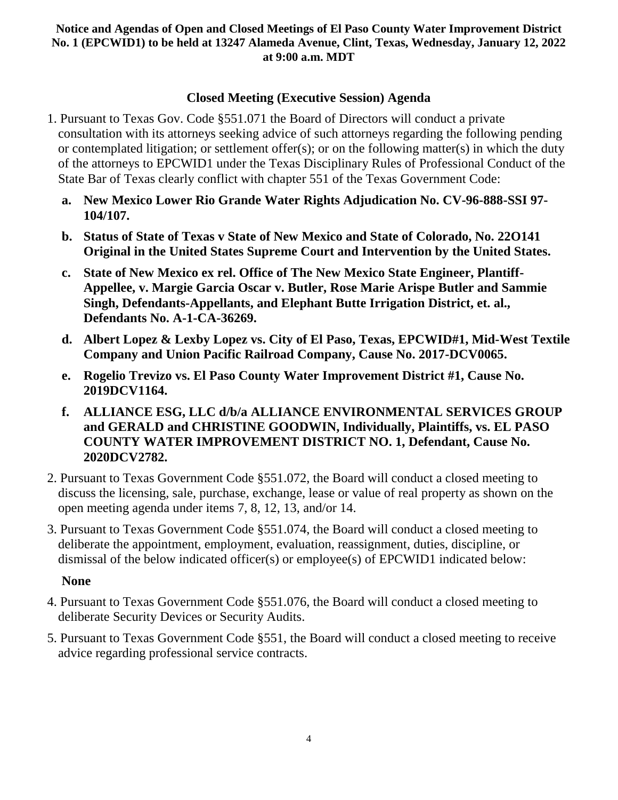# **Closed Meeting (Executive Session) Agenda**

- 1. Pursuant to Texas Gov. Code §551.071 the Board of Directors will conduct a private consultation with its attorneys seeking advice of such attorneys regarding the following pending or contemplated litigation; or settlement offer(s); or on the following matter(s) in which the duty of the attorneys to EPCWID1 under the Texas Disciplinary Rules of Professional Conduct of the State Bar of Texas clearly conflict with chapter 551 of the Texas Government Code:
	- **a. New Mexico Lower Rio Grande Water Rights Adjudication No. CV-96-888-SSI 97- 104/107.**
	- **b. Status of State of Texas v State of New Mexico and State of Colorado, No. 22O141 Original in the United States Supreme Court and Intervention by the United States.**
	- **c. State of New Mexico ex rel. Office of The New Mexico State Engineer, Plantiff-Appellee, v. Margie Garcia Oscar v. Butler, Rose Marie Arispe Butler and Sammie Singh, Defendants-Appellants, and Elephant Butte Irrigation District, et. al., Defendants No. A-1-CA-36269.**
	- **d. Albert Lopez & Lexby Lopez vs. City of El Paso, Texas, EPCWID#1, Mid-West Textile Company and Union Pacific Railroad Company, Cause No. 2017-DCV0065.**
	- **e. Rogelio Trevizo vs. El Paso County Water Improvement District #1, Cause No. 2019DCV1164.**
	- **f. ALLIANCE ESG, LLC d/b/a ALLIANCE ENVIRONMENTAL SERVICES GROUP and GERALD and CHRISTINE GOODWIN, Individually, Plaintiffs, vs. EL PASO COUNTY WATER IMPROVEMENT DISTRICT NO. 1, Defendant, Cause No. 2020DCV2782.**
- 2. Pursuant to Texas Government Code §551.072, the Board will conduct a closed meeting to discuss the licensing, sale, purchase, exchange, lease or value of real property as shown on the open meeting agenda under items 7, 8, 12, 13, and/or 14.
- 3. Pursuant to Texas Government Code §551.074, the Board will conduct a closed meeting to deliberate the appointment, employment, evaluation, reassignment, duties, discipline, or dismissal of the below indicated officer(s) or employee(s) of EPCWID1 indicated below:

### **None**

- 4. Pursuant to Texas Government Code §551.076, the Board will conduct a closed meeting to deliberate Security Devices or Security Audits.
- 5. Pursuant to Texas Government Code §551, the Board will conduct a closed meeting to receive advice regarding professional service contracts.